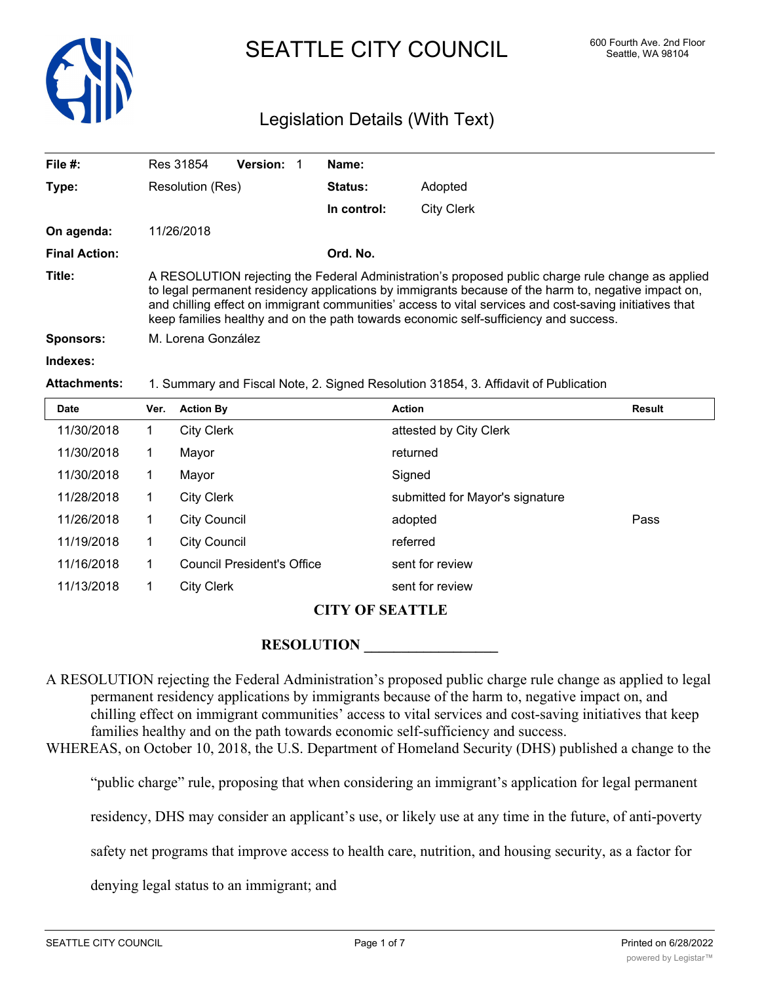

# SEATTLE CITY COUNCIL 600 Fourth Ave. 2nd Floor

### Legislation Details (With Text)

| File $#$ :           | Res 31854                                                                                                                                                                                                                                                                                                                                                                                                   | <b>Version:</b> |                | Name:       |                   |  |
|----------------------|-------------------------------------------------------------------------------------------------------------------------------------------------------------------------------------------------------------------------------------------------------------------------------------------------------------------------------------------------------------------------------------------------------------|-----------------|----------------|-------------|-------------------|--|
| Type:                | Resolution (Res)                                                                                                                                                                                                                                                                                                                                                                                            |                 | <b>Status:</b> | Adopted     |                   |  |
|                      |                                                                                                                                                                                                                                                                                                                                                                                                             |                 |                | In control: | <b>City Clerk</b> |  |
| On agenda:           | 11/26/2018                                                                                                                                                                                                                                                                                                                                                                                                  |                 |                |             |                   |  |
| <b>Final Action:</b> |                                                                                                                                                                                                                                                                                                                                                                                                             |                 |                | Ord. No.    |                   |  |
| Title:               | A RESOLUTION rejecting the Federal Administration's proposed public charge rule change as applied<br>to legal permanent residency applications by immigrants because of the harm to, negative impact on,<br>and chilling effect on immigrant communities' access to vital services and cost-saving initiatives that<br>keep families healthy and on the path towards economic self-sufficiency and success. |                 |                |             |                   |  |
| <b>Sponsors:</b>     | M. Lorena González                                                                                                                                                                                                                                                                                                                                                                                          |                 |                |             |                   |  |
| Indexes:             |                                                                                                                                                                                                                                                                                                                                                                                                             |                 |                |             |                   |  |
|                      |                                                                                                                                                                                                                                                                                                                                                                                                             |                 |                |             |                   |  |

#### **Attachments:** 1. Summary and Fiscal Note, 2. Signed Resolution 31854, 3. Affidavit of Publication

| <b>Date</b> | Ver. | <b>Action By</b>                  | <b>Action</b>                   | <b>Result</b> |
|-------------|------|-----------------------------------|---------------------------------|---------------|
| 11/30/2018  |      | <b>City Clerk</b>                 | attested by City Clerk          |               |
| 11/30/2018  | 1    | Mayor                             | returned                        |               |
| 11/30/2018  | 1    | Mayor                             | Signed                          |               |
| 11/28/2018  | 1    | <b>City Clerk</b>                 | submitted for Mayor's signature |               |
| 11/26/2018  | 1    | <b>City Council</b>               | adopted                         | Pass          |
| 11/19/2018  | 1    | <b>City Council</b>               | referred                        |               |
| 11/16/2018  | 1    | <b>Council President's Office</b> | sent for review                 |               |
| 11/13/2018  | 1    | <b>City Clerk</b>                 | sent for review                 |               |

#### **CITY OF SEATTLE**

#### **RESOLUTION \_\_\_\_\_\_\_\_\_\_\_\_\_\_\_\_\_\_**

A RESOLUTION rejecting the Federal Administration's proposed public charge rule change as applied to legal permanent residency applications by immigrants because of the harm to, negative impact on, and chilling effect on immigrant communities' access to vital services and cost-saving initiatives that keep families healthy and on the path towards economic self-sufficiency and success.

WHEREAS, on October 10, 2018, the U.S. Department of Homeland Security (DHS) published a change to the

"public charge" rule, proposing that when considering an immigrant's application for legal permanent

residency, DHS may consider an applicant's use, or likely use at any time in the future, of anti-poverty

safety net programs that improve access to health care, nutrition, and housing security, as a factor for

denying legal status to an immigrant; and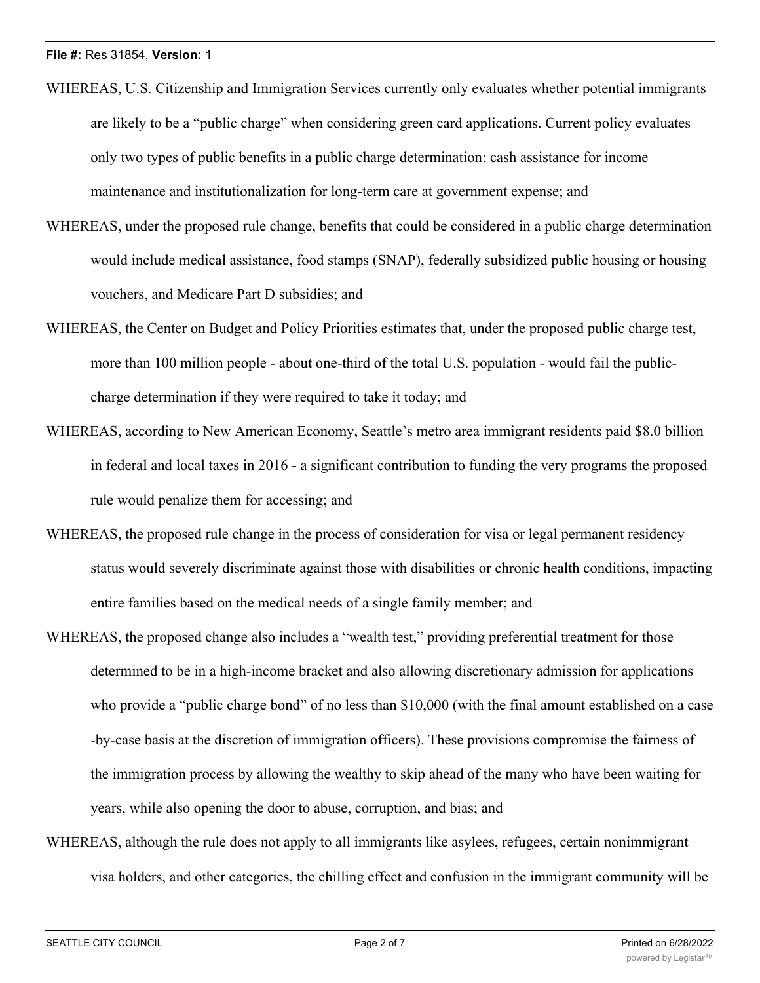- WHEREAS, U.S. Citizenship and Immigration Services currently only evaluates whether potential immigrants are likely to be a "public charge" when considering green card applications. Current policy evaluates only two types of public benefits in a public charge determination: cash assistance for income maintenance and institutionalization for long-term care at government expense; and
- WHEREAS, under the proposed rule change, benefits that could be considered in a public charge determination would include medical assistance, food stamps (SNAP), federally subsidized public housing or housing vouchers, and Medicare Part D subsidies; and
- WHEREAS, the Center on Budget and Policy Priorities estimates that, under the proposed public charge test, more than 100 million people - about one-third of the total U.S. population - would fail the publiccharge determination if they were required to take it today; and
- WHEREAS, according to New American Economy, Seattle's metro area immigrant residents paid \$8.0 billion in federal and local taxes in 2016 - a significant contribution to funding the very programs the proposed rule would penalize them for accessing; and
- WHEREAS, the proposed rule change in the process of consideration for visa or legal permanent residency status would severely discriminate against those with disabilities or chronic health conditions, impacting entire families based on the medical needs of a single family member; and
- WHEREAS, the proposed change also includes a "wealth test," providing preferential treatment for those determined to be in a high-income bracket and also allowing discretionary admission for applications who provide a "public charge bond" of no less than \$10,000 (with the final amount established on a case -by-case basis at the discretion of immigration officers). These provisions compromise the fairness of the immigration process by allowing the wealthy to skip ahead of the many who have been waiting for years, while also opening the door to abuse, corruption, and bias; and
- WHEREAS, although the rule does not apply to all immigrants like asylees, refugees, certain nonimmigrant visa holders, and other categories, the chilling effect and confusion in the immigrant community will be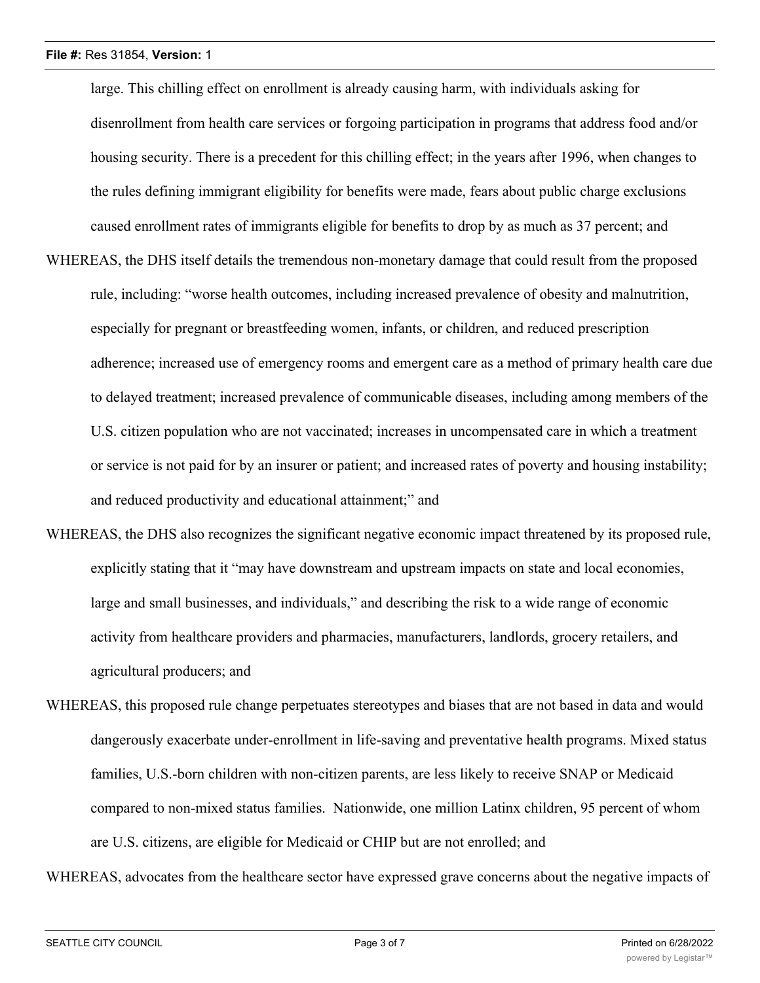large. This chilling effect on enrollment is already causing harm, with individuals asking for disenrollment from health care services or forgoing participation in programs that address food and/or housing security. There is a precedent for this chilling effect; in the years after 1996, when changes to the rules defining immigrant eligibility for benefits were made, fears about public charge exclusions caused enrollment rates of immigrants eligible for benefits to drop by as much as 37 percent; and

- WHEREAS, the DHS itself details the tremendous non-monetary damage that could result from the proposed rule, including: "worse health outcomes, including increased prevalence of obesity and malnutrition, especially for pregnant or breastfeeding women, infants, or children, and reduced prescription adherence; increased use of emergency rooms and emergent care as a method of primary health care due to delayed treatment; increased prevalence of communicable diseases, including among members of the U.S. citizen population who are not vaccinated; increases in uncompensated care in which a treatment or service is not paid for by an insurer or patient; and increased rates of poverty and housing instability; and reduced productivity and educational attainment;" and
- WHEREAS, the DHS also recognizes the significant negative economic impact threatened by its proposed rule, explicitly stating that it "may have downstream and upstream impacts on state and local economies, large and small businesses, and individuals," and describing the risk to a wide range of economic activity from healthcare providers and pharmacies, manufacturers, landlords, grocery retailers, and agricultural producers; and
- WHEREAS, this proposed rule change perpetuates stereotypes and biases that are not based in data and would dangerously exacerbate under-enrollment in life-saving and preventative health programs. Mixed status families, U.S.-born children with non-citizen parents, are less likely to receive SNAP or Medicaid compared to non-mixed status families. Nationwide, one million Latinx children, 95 percent of whom are U.S. citizens, are eligible for Medicaid or CHIP but are not enrolled; and

WHEREAS, advocates from the healthcare sector have expressed grave concerns about the negative impacts of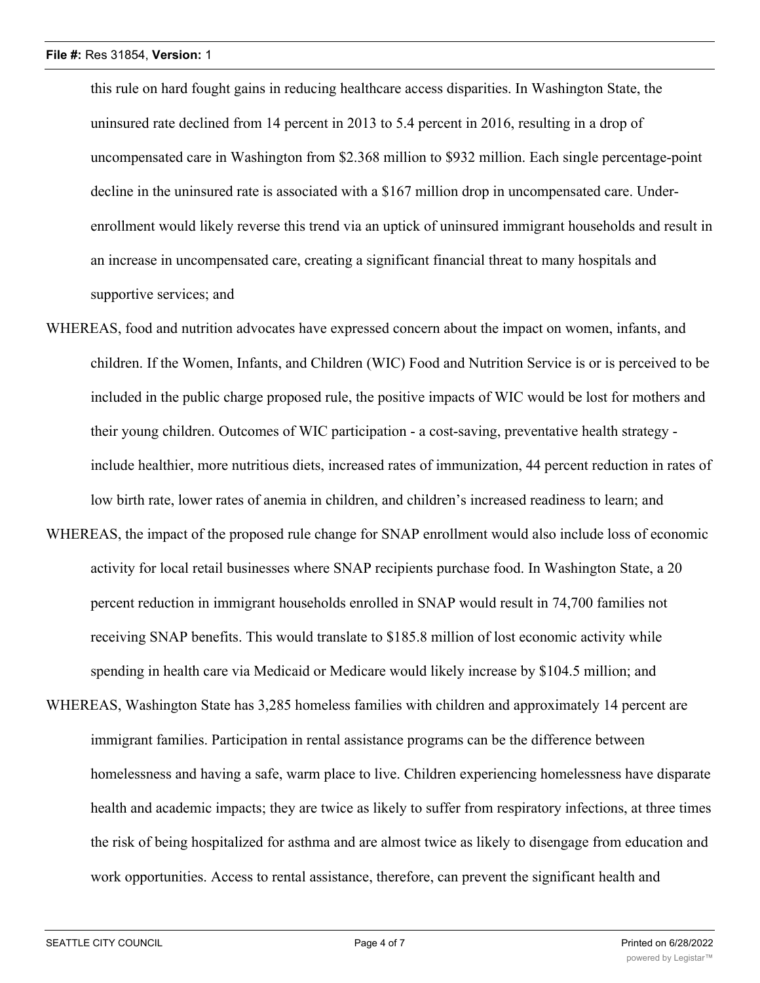this rule on hard fought gains in reducing healthcare access disparities. In Washington State, the uninsured rate declined from 14 percent in 2013 to 5.4 percent in 2016, resulting in a drop of uncompensated care in Washington from \$2.368 million to \$932 million. Each single percentage-point decline in the uninsured rate is associated with a \$167 million drop in uncompensated care. Underenrollment would likely reverse this trend via an uptick of uninsured immigrant households and result in an increase in uncompensated care, creating a significant financial threat to many hospitals and supportive services; and

- WHEREAS, food and nutrition advocates have expressed concern about the impact on women, infants, and children. If the Women, Infants, and Children (WIC) Food and Nutrition Service is or is perceived to be included in the public charge proposed rule, the positive impacts of WIC would be lost for mothers and their young children. Outcomes of WIC participation - a cost-saving, preventative health strategy include healthier, more nutritious diets, increased rates of immunization, 44 percent reduction in rates of low birth rate, lower rates of anemia in children, and children's increased readiness to learn; and
- WHEREAS, the impact of the proposed rule change for SNAP enrollment would also include loss of economic activity for local retail businesses where SNAP recipients purchase food. In Washington State, a 20 percent reduction in immigrant households enrolled in SNAP would result in 74,700 families not receiving SNAP benefits. This would translate to \$185.8 million of lost economic activity while spending in health care via Medicaid or Medicare would likely increase by \$104.5 million; and
- WHEREAS, Washington State has 3,285 homeless families with children and approximately 14 percent are immigrant families. Participation in rental assistance programs can be the difference between homelessness and having a safe, warm place to live. Children experiencing homelessness have disparate health and academic impacts; they are twice as likely to suffer from respiratory infections, at three times the risk of being hospitalized for asthma and are almost twice as likely to disengage from education and work opportunities. Access to rental assistance, therefore, can prevent the significant health and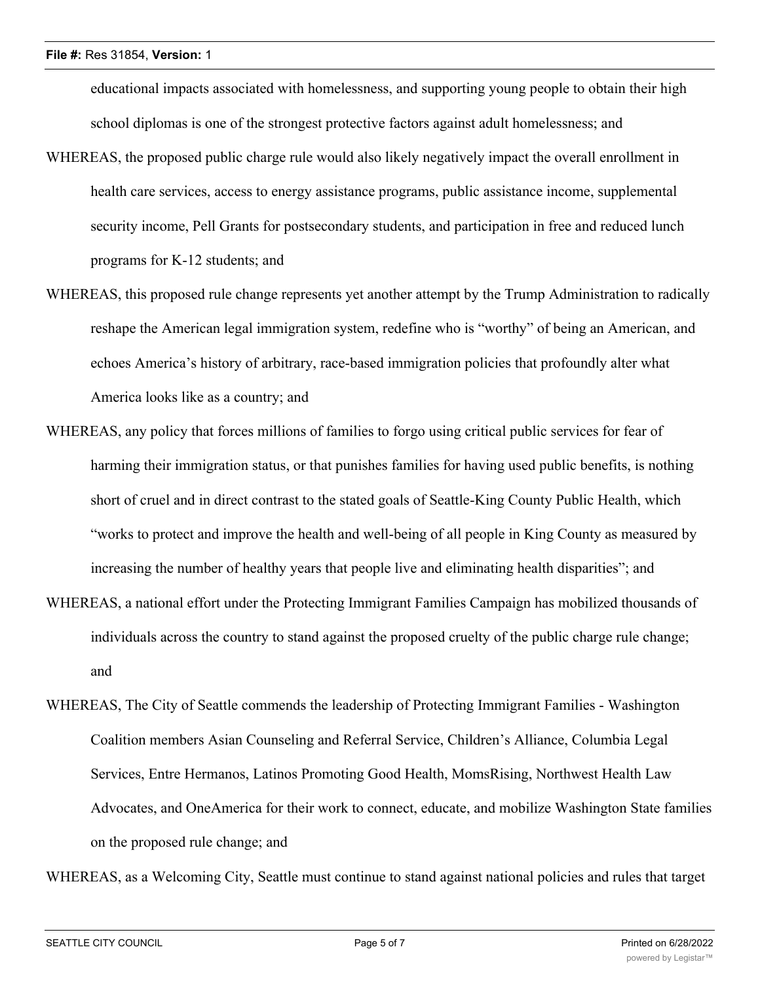educational impacts associated with homelessness, and supporting young people to obtain their high school diplomas is one of the strongest protective factors against adult homelessness; and

- WHEREAS, the proposed public charge rule would also likely negatively impact the overall enrollment in health care services, access to energy assistance programs, public assistance income, supplemental security income, Pell Grants for postsecondary students, and participation in free and reduced lunch programs for K-12 students; and
- WHEREAS, this proposed rule change represents yet another attempt by the Trump Administration to radically reshape the American legal immigration system, redefine who is "worthy" of being an American, and echoes America's history of arbitrary, race-based immigration policies that profoundly alter what America looks like as a country; and
- WHEREAS, any policy that forces millions of families to forgo using critical public services for fear of harming their immigration status, or that punishes families for having used public benefits, is nothing short of cruel and in direct contrast to the stated goals of Seattle-King County Public Health, which "works to protect and improve the health and well-being of all people in King County as measured by increasing the number of healthy years that people live and eliminating health disparities"; and
- WHEREAS, a national effort under the Protecting Immigrant Families Campaign has mobilized thousands of individuals across the country to stand against the proposed cruelty of the public charge rule change; and
- WHEREAS, The City of Seattle commends the leadership of Protecting Immigrant Families Washington Coalition members Asian Counseling and Referral Service, Children's Alliance, Columbia Legal Services, Entre Hermanos, Latinos Promoting Good Health, MomsRising, Northwest Health Law Advocates, and OneAmerica for their work to connect, educate, and mobilize Washington State families on the proposed rule change; and

WHEREAS, as a Welcoming City, Seattle must continue to stand against national policies and rules that target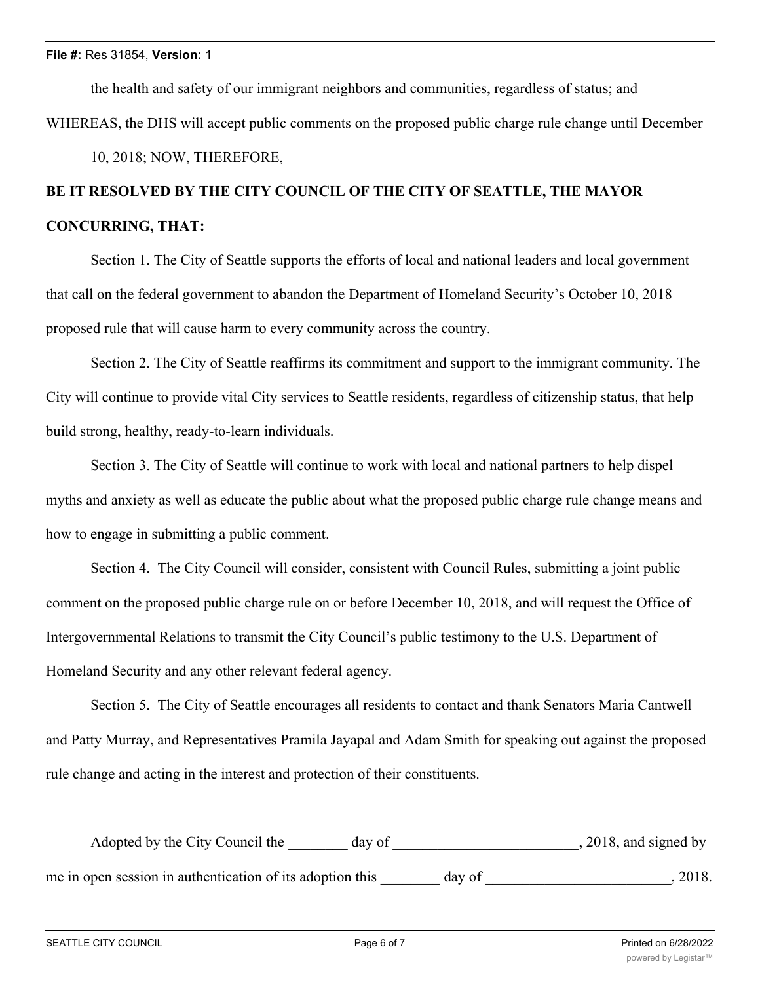the health and safety of our immigrant neighbors and communities, regardless of status; and WHEREAS, the DHS will accept public comments on the proposed public charge rule change until December 10, 2018; NOW, THEREFORE,

## **BE IT RESOLVED BY THE CITY COUNCIL OF THE CITY OF SEATTLE, THE MAYOR CONCURRING, THAT:**

Section 1. The City of Seattle supports the efforts of local and national leaders and local government that call on the federal government to abandon the Department of Homeland Security's October 10, 2018 proposed rule that will cause harm to every community across the country.

Section 2. The City of Seattle reaffirms its commitment and support to the immigrant community. The City will continue to provide vital City services to Seattle residents, regardless of citizenship status, that help build strong, healthy, ready-to-learn individuals.

Section 3. The City of Seattle will continue to work with local and national partners to help dispel myths and anxiety as well as educate the public about what the proposed public charge rule change means and how to engage in submitting a public comment.

Section 4. The City Council will consider, consistent with Council Rules, submitting a joint public comment on the proposed public charge rule on or before December 10, 2018, and will request the Office of Intergovernmental Relations to transmit the City Council's public testimony to the U.S. Department of Homeland Security and any other relevant federal agency.

Section 5. The City of Seattle encourages all residents to contact and thank Senators Maria Cantwell and Patty Murray, and Representatives Pramila Jayapal and Adam Smith for speaking out against the proposed rule change and acting in the interest and protection of their constituents.

| Adopted by the City Council the                           | dav of |        | , 2018, and signed by |
|-----------------------------------------------------------|--------|--------|-----------------------|
| me in open session in authentication of its adoption this |        | day of | 2018.                 |